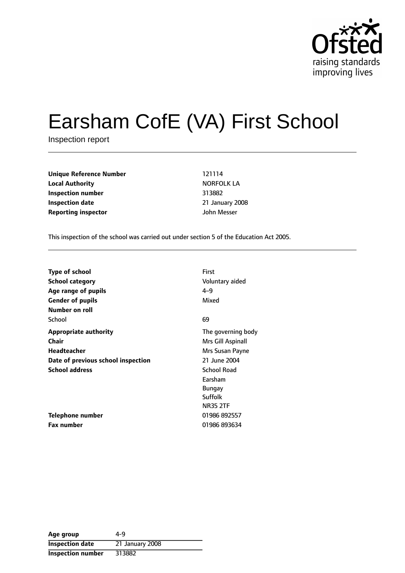

# Earsham CofE (VA) First School

Inspection report

**Unique Reference Number** 121114 **Local Authority NORFOLK LA Inspection number** 313882 **Inspection date** 21 January 2008 **Reporting inspector** John Messer

This inspection of the school was carried out under section 5 of the Education Act 2005.

| <b>Type of school</b>              | First              |
|------------------------------------|--------------------|
| School category                    | Voluntary aided    |
| Age range of pupils                | $4 - 9$            |
| <b>Gender of pupils</b>            | Mixed              |
| Number on roll                     |                    |
| School                             | 69                 |
| Appropriate authority              | The governing body |
| Chair                              | Mrs Gill Aspinall  |
| Headteacher                        | Mrs Susan Payne    |
| Date of previous school inspection | 21 June 2004       |
| <b>School address</b>              | <b>School Road</b> |
|                                    | Earsham            |
|                                    | <b>Bungay</b>      |
|                                    | Suffolk            |
|                                    | <b>NR35 2TF</b>    |
| <b>Telephone number</b>            | 01986 892557       |
| <b>Fax number</b>                  | 01986 893634       |

| Age group                | 4-9             |
|--------------------------|-----------------|
| <b>Inspection date</b>   | 21 January 2008 |
| <b>Inspection number</b> | 313882          |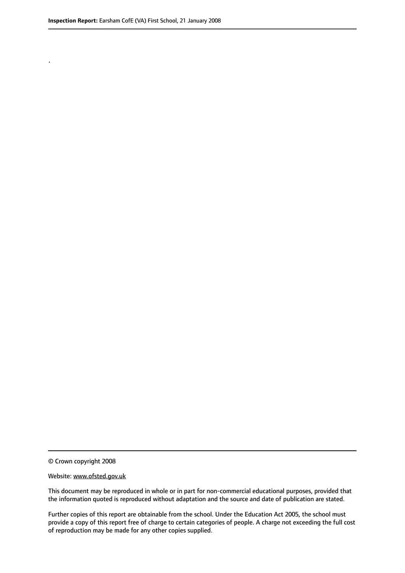.

© Crown copyright 2008

#### Website: www.ofsted.gov.uk

This document may be reproduced in whole or in part for non-commercial educational purposes, provided that the information quoted is reproduced without adaptation and the source and date of publication are stated.

Further copies of this report are obtainable from the school. Under the Education Act 2005, the school must provide a copy of this report free of charge to certain categories of people. A charge not exceeding the full cost of reproduction may be made for any other copies supplied.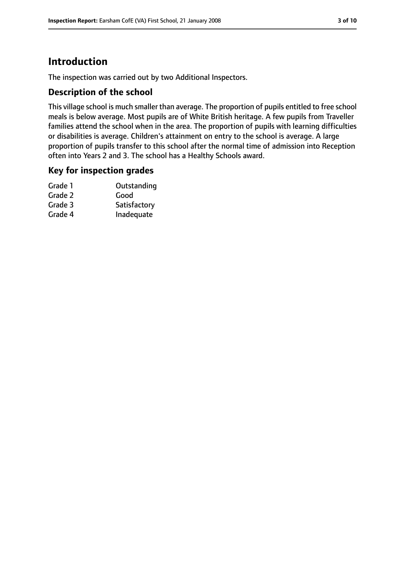# **Introduction**

The inspection was carried out by two Additional Inspectors.

#### **Description of the school**

This village school is much smaller than average. The proportion of pupils entitled to free school meals is below average. Most pupils are of White British heritage. A few pupils from Traveller families attend the school when in the area. The proportion of pupils with learning difficulties or disabilities is average. Children's attainment on entry to the school is average. A large proportion of pupils transfer to this school after the normal time of admission into Reception often into Years 2 and 3. The school has a Healthy Schools award.

#### **Key for inspection grades**

| Grade 1 | Outstanding  |
|---------|--------------|
| Grade 2 | Good         |
| Grade 3 | Satisfactory |
| Grade 4 | Inadequate   |
|         |              |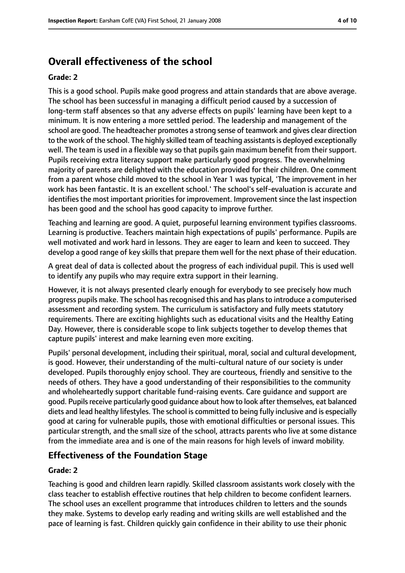# **Overall effectiveness of the school**

#### **Grade: 2**

This is a good school. Pupils make good progress and attain standards that are above average. The school has been successful in managing a difficult period caused by a succession of long-term staff absences so that any adverse effects on pupils' learning have been kept to a minimum. It is now entering a more settled period. The leadership and management of the school are good. The headteacher promotes a strong sense of teamwork and gives clear direction to the work of the school. The highly skilled team of teaching assistants is deployed exceptionally well. The team is used in a flexible way so that pupils gain maximum benefit from their support. Pupils receiving extra literacy support make particularly good progress. The overwhelming majority of parents are delighted with the education provided for their children. One comment from a parent whose child moved to the school in Year 1 was typical, 'The improvement in her work has been fantastic. It is an excellent school.' The school's self-evaluation is accurate and identifies the most important priorities for improvement. Improvement since the last inspection has been good and the school has good capacity to improve further.

Teaching and learning are good. A quiet, purposeful learning environment typifies classrooms. Learning is productive. Teachers maintain high expectations of pupils' performance. Pupils are well motivated and work hard in lessons. They are eager to learn and keen to succeed. They develop a good range of key skills that prepare them well for the next phase of their education.

A great deal of data is collected about the progress of each individual pupil. This is used well to identify any pupils who may require extra support in their learning.

However, it is not always presented clearly enough for everybody to see precisely how much progress pupils make. The school hasrecognised this and has plansto introduce a computerised assessment and recording system. The curriculum is satisfactory and fully meets statutory requirements. There are exciting highlights such as educational visits and the Healthy Eating Day. However, there is considerable scope to link subjects together to develop themes that capture pupils' interest and make learning even more exciting.

Pupils' personal development, including their spiritual, moral, social and cultural development, is good. However, their understanding of the multi-cultural nature of our society is under developed. Pupils thoroughly enjoy school. They are courteous, friendly and sensitive to the needs of others. They have a good understanding of their responsibilities to the community and wholeheartedly support charitable fund-raising events. Care guidance and support are good. Pupils receive particularly good guidance about how to look after themselves, eat balanced diets and lead healthy lifestyles. The school is committed to being fully inclusive and is especially good at caring for vulnerable pupils, those with emotional difficulties or personal issues. This particular strength, and the small size of the school, attracts parents who live at some distance from the immediate area and is one of the main reasons for high levels of inward mobility.

#### **Effectiveness of the Foundation Stage**

#### **Grade: 2**

Teaching is good and children learn rapidly. Skilled classroom assistants work closely with the class teacher to establish effective routines that help children to become confident learners. The school uses an excellent programme that introduces children to letters and the sounds they make. Systems to develop early reading and writing skills are well established and the pace of learning is fast. Children quickly gain confidence in their ability to use their phonic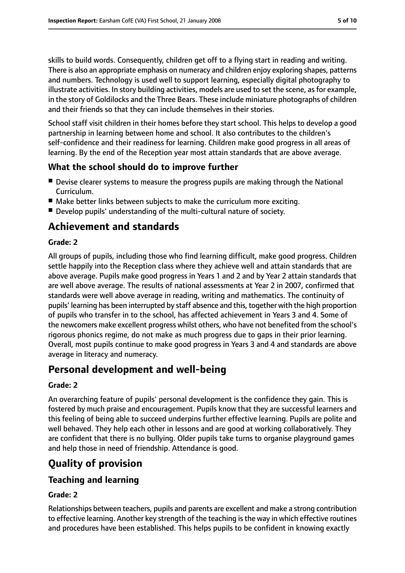skills to build words. Consequently, children get off to a flying start in reading and writing. There is also an appropriate emphasis on numeracy and children enjoy exploring shapes, patterns and numbers. Technology is used well to support learning, especially digital photography to illustrate activities. In story building activities, models are used to set the scene, as for example, in the story of Goldilocks and the Three Bears. These include miniature photographs of children and their friends so that they can include themselves in their stories.

School staff visit children in their homes before they start school. This helps to develop a good partnership in learning between home and school. It also contributes to the children's self-confidence and their readiness for learning. Children make good progress in all areas of learning. By the end of the Reception year most attain standards that are above average.

## **What the school should do to improve further**

- Devise clearer systems to measure the progress pupils are making through the National Curriculum.
- Make better links between subjects to make the curriculum more exciting.
- Develop pupils' understanding of the multi-cultural nature of society.

# **Achievement and standards**

#### **Grade: 2**

All groups of pupils, including those who find learning difficult, make good progress. Children settle happily into the Reception class where they achieve well and attain standards that are above average. Pupils make good progress in Years 1 and 2 and by Year 2 attain standards that are well above average. The results of national assessments at Year 2 in 2007, confirmed that standards were well above average in reading, writing and mathematics. The continuity of pupils' learning has been interrupted by staff absence and this, together with the high proportion of pupils who transfer in to the school, has affected achievement in Years 3 and 4. Some of the newcomers make excellent progress whilst others, who have not benefited from the school's rigorous phonics regime, do not make as much progress due to gaps in their prior learning. Overall, most pupils continue to make good progress in Years 3 and 4 and standards are above average in literacy and numeracy.

# **Personal development and well-being**

#### **Grade: 2**

An overarching feature of pupils' personal development is the confidence they gain. This is fostered by much praise and encouragement. Pupils know that they are successful learners and this feeling of being able to succeed underpins further effective learning. Pupils are polite and well behaved. They help each other in lessons and are good at working collaboratively. They are confident that there is no bullying. Older pupils take turns to organise playground games and help those in need of friendship. Attendance is good.

# **Quality of provision**

## **Teaching and learning**

## **Grade: 2**

Relationships between teachers, pupils and parents are excellent and make a strong contribution to effective learning. Another key strength of the teaching isthe way in which effective routines and procedures have been established. This helps pupils to be confident in knowing exactly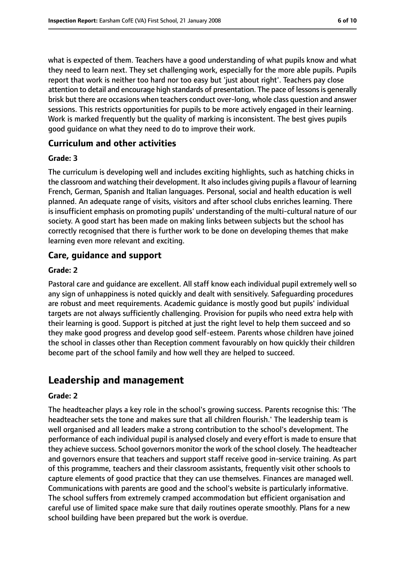what is expected of them. Teachers have a good understanding of what pupils know and what they need to learn next. They set challenging work, especially for the more able pupils. Pupils report that work is neither too hard nor too easy but 'just about right'. Teachers pay close attention to detail and encourage high standards of presentation. The pace of lessons is generally brisk but there are occasions when teachers conduct over-long, whole class question and answer sessions. This restricts opportunities for pupils to be more actively engaged in their learning. Work is marked frequently but the quality of marking is inconsistent. The best gives pupils good guidance on what they need to do to improve their work.

#### **Curriculum and other activities**

#### **Grade: 3**

The curriculum is developing well and includes exciting highlights, such as hatching chicks in the classroom and watching their development. It also includes giving pupils a flavour of learning French, German, Spanish and Italian languages. Personal, social and health education is well planned. An adequate range of visits, visitors and after school clubs enriches learning. There is insufficient emphasis on promoting pupils' understanding of the multi-cultural nature of our society. A good start has been made on making links between subjects but the school has correctly recognised that there is further work to be done on developing themes that make learning even more relevant and exciting.

### **Care, guidance and support**

#### **Grade: 2**

Pastoral care and guidance are excellent. All staff know each individual pupil extremely well so any sign of unhappiness is noted quickly and dealt with sensitively. Safeguarding procedures are robust and meet requirements. Academic guidance is mostly good but pupils' individual targets are not always sufficiently challenging. Provision for pupils who need extra help with their learning is good. Support is pitched at just the right level to help them succeed and so they make good progress and develop good self-esteem. Parents whose children have joined the school in classes other than Reception comment favourably on how quickly their children become part of the school family and how well they are helped to succeed.

## **Leadership and management**

#### **Grade: 2**

The headteacher plays a key role in the school's growing success. Parents recognise this: 'The headteacher sets the tone and makes sure that all children flourish.' The leadership team is well organised and all leaders make a strong contribution to the school's development. The performance of each individual pupil is analysed closely and every effort is made to ensure that they achieve success. School governors monitor the work of the school closely. The headteacher and governors ensure that teachers and support staff receive good in-service training. As part of this programme, teachers and their classroom assistants, frequently visit other schools to capture elements of good practice that they can use themselves. Finances are managed well. Communications with parents are good and the school's website is particularly informative. The school suffers from extremely cramped accommodation but efficient organisation and careful use of limited space make sure that daily routines operate smoothly. Plans for a new school building have been prepared but the work is overdue.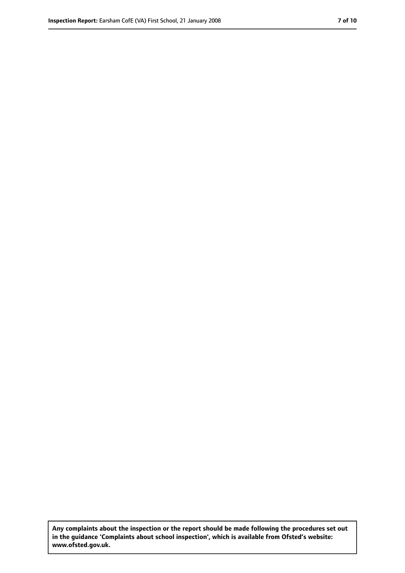**Any complaints about the inspection or the report should be made following the procedures set out in the guidance 'Complaints about school inspection', which is available from Ofsted's website: www.ofsted.gov.uk.**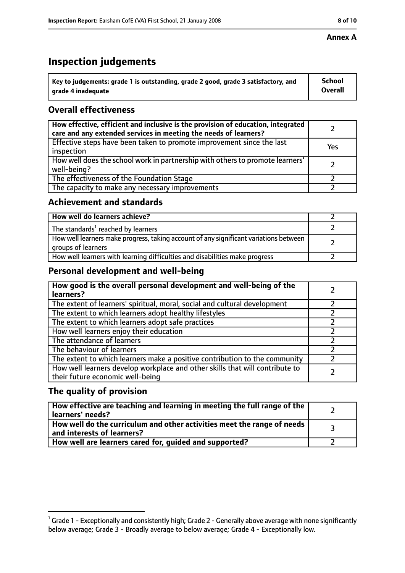# **Inspection judgements**

| $^{\backprime}$ Key to judgements: grade 1 is outstanding, grade 2 good, grade 3 satisfactory, and | <b>School</b>  |
|----------------------------------------------------------------------------------------------------|----------------|
| arade 4 inadequate                                                                                 | <b>Overall</b> |

## **Overall effectiveness**

| How effective, efficient and inclusive is the provision of education, integrated<br>care and any extended services in meeting the needs of learners? |     |
|------------------------------------------------------------------------------------------------------------------------------------------------------|-----|
| Effective steps have been taken to promote improvement since the last<br>inspection                                                                  | Yes |
| How well does the school work in partnership with others to promote learners'<br>well-being?                                                         |     |
| The effectiveness of the Foundation Stage                                                                                                            |     |
| The capacity to make any necessary improvements                                                                                                      |     |

### **Achievement and standards**

| How well do learners achieve?                                                                               |  |
|-------------------------------------------------------------------------------------------------------------|--|
| The standards <sup>1</sup> reached by learners                                                              |  |
| How well learners make progress, taking account of any significant variations between<br>groups of learners |  |
| How well learners with learning difficulties and disabilities make progress                                 |  |

## **Personal development and well-being**

| How good is the overall personal development and well-being of the<br>learners?                                  |  |
|------------------------------------------------------------------------------------------------------------------|--|
| The extent of learners' spiritual, moral, social and cultural development                                        |  |
| The extent to which learners adopt healthy lifestyles                                                            |  |
| The extent to which learners adopt safe practices                                                                |  |
| How well learners enjoy their education                                                                          |  |
| The attendance of learners                                                                                       |  |
| The behaviour of learners                                                                                        |  |
| The extent to which learners make a positive contribution to the community                                       |  |
| How well learners develop workplace and other skills that will contribute to<br>their future economic well-being |  |

## **The quality of provision**

| How effective are teaching and learning in meeting the full range of the<br>learners' needs?          |  |
|-------------------------------------------------------------------------------------------------------|--|
| How well do the curriculum and other activities meet the range of needs<br>and interests of learners? |  |
| How well are learners cared for, guided and supported?                                                |  |

 $^1$  Grade 1 - Exceptionally and consistently high; Grade 2 - Generally above average with none significantly below average; Grade 3 - Broadly average to below average; Grade 4 - Exceptionally low.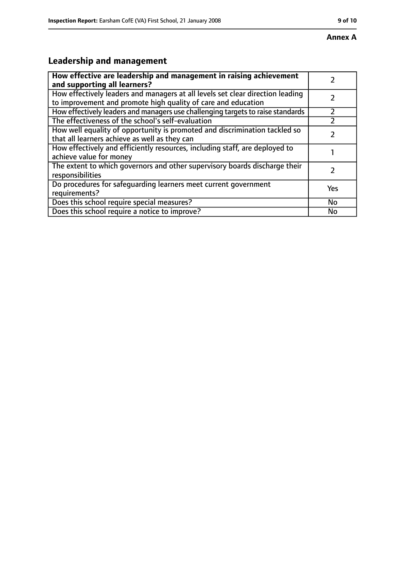# **Leadership and management**

| How effective are leadership and management in raising achievement<br>and supporting all learners?                                              |     |
|-------------------------------------------------------------------------------------------------------------------------------------------------|-----|
| How effectively leaders and managers at all levels set clear direction leading<br>to improvement and promote high quality of care and education |     |
| How effectively leaders and managers use challenging targets to raise standards                                                                 |     |
| The effectiveness of the school's self-evaluation                                                                                               |     |
| How well equality of opportunity is promoted and discrimination tackled so<br>that all learners achieve as well as they can                     |     |
| How effectively and efficiently resources, including staff, are deployed to<br>achieve value for money                                          |     |
| The extent to which governors and other supervisory boards discharge their<br>responsibilities                                                  |     |
| Do procedures for safequarding learners meet current government<br>requirements?                                                                | Yes |
| Does this school require special measures?                                                                                                      | No  |
| Does this school require a notice to improve?                                                                                                   | No  |